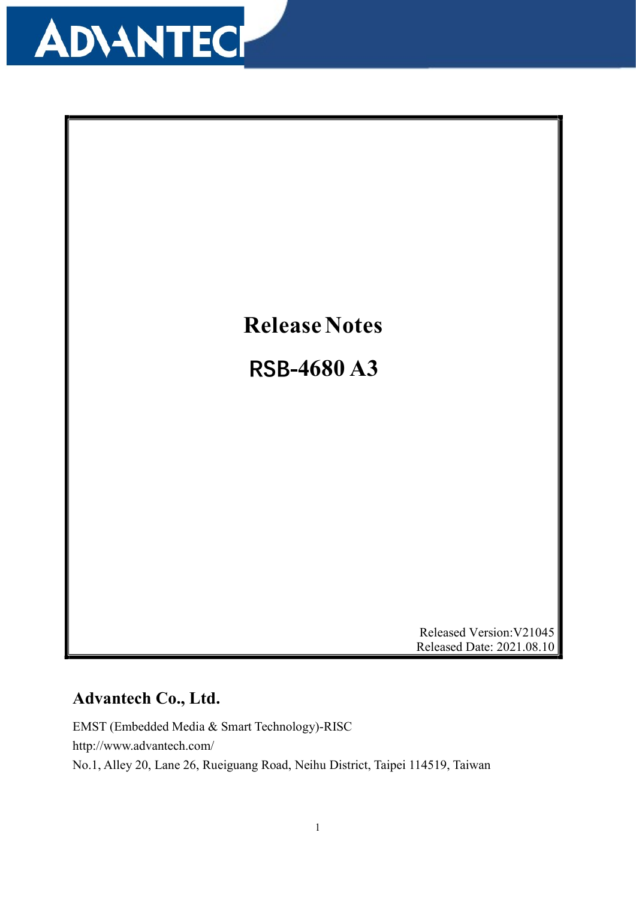



Released Version:V21045 Released Date: 2021.08.10

#### Advantech Co., Ltd.

EMST (Embedded Media & Smart Technology)-RISC http://www.advantech.com/ No.1, Alley 20, Lane 26, Rueiguang Road, Neihu District, Taipei 114519, Taiwan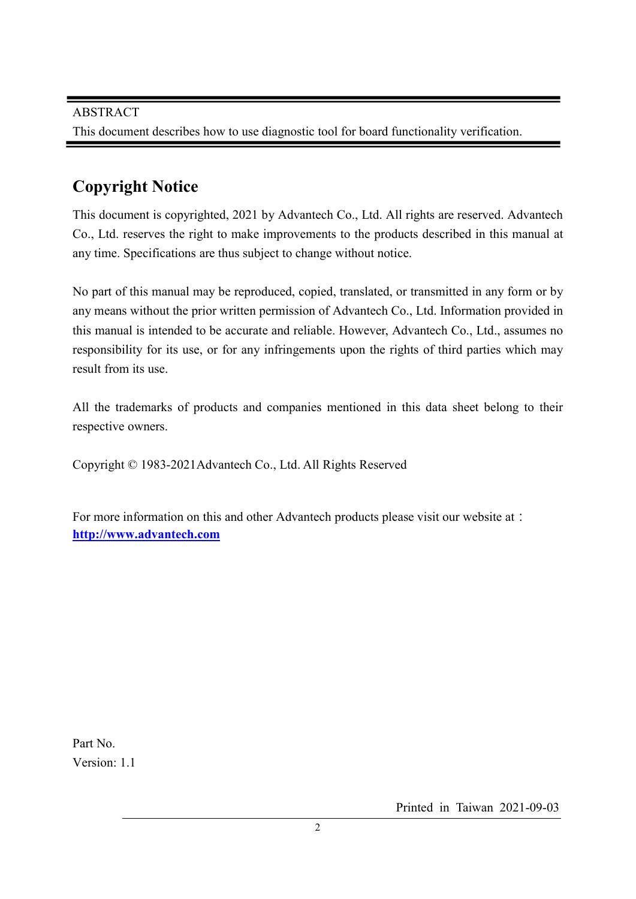#### Copyright Notice

This document is copyrighted, 2021 by Advantech Co., Ltd. All rights are reserved. Advantech Co., Ltd. reserves the right to make improvements to the products described in this manual at any time. Specifications are thus subject to change without notice.

No part of this manual may be reproduced, copied, translated, or transmitted in any form or by any means without the prior written permission of Advantech Co., Ltd. Information provided in this manual is intended to be accurate and reliable. However, Advantech Co., Ltd., assumes no responsibility for its use, or for any infringements upon the rights of third parties which may result from its use.

All the trademarks of products and companies mentioned in this data sheet belong to their respective owners.

Copyright © 1983-2021Advantech Co., Ltd. All Rights Reserved

For more information on this and other Advantech products please visit our website at: http://www.advantech.com

Part No. Version: 1.1

Printed in Taiwan 2021-09-03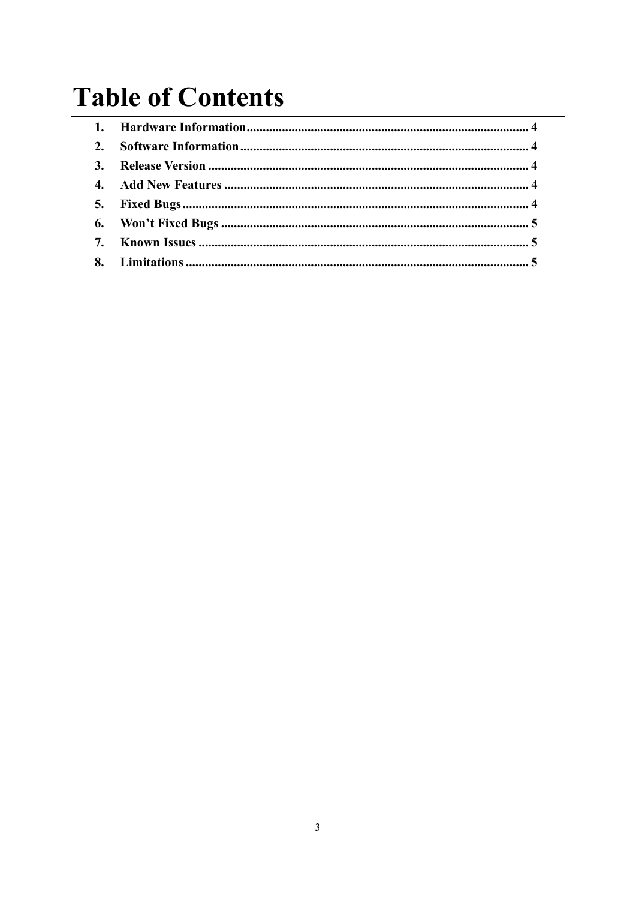### **Table of Contents**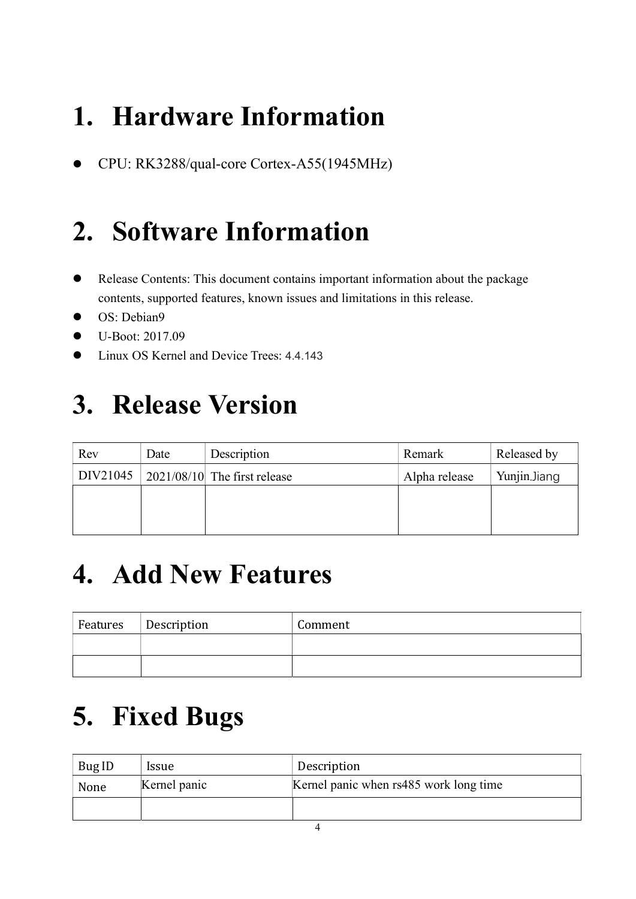## 1. Hardware Information

CPU: RK3288/qual-core Cortex-A55(1945MHz)

#### 2. Software Information

- Release Contents: This document contains important information about the package contents, supported features, known issues and limitations in this release.
- OS: Debian9
- U-Boot: 2017.09
- Linux OS Kernel and Device Trees: 4.4.143

## 3. Release Version

| Rev      | Date | Description                                            | Remark        | Released by  |
|----------|------|--------------------------------------------------------|---------------|--------------|
| DIV21045 |      | $\left  \frac{2021}{08}{10} \right $ The first release | Alpha release | Yunjin.Jiang |
|          |      |                                                        |               |              |
|          |      |                                                        |               |              |
|          |      |                                                        |               |              |

#### 4. Add New Features

| Features Description | Comment |
|----------------------|---------|
|                      |         |
|                      |         |

### 5. Fixed Bugs

| Bug ID | <i>Issue</i> | Description                            |
|--------|--------------|----------------------------------------|
| None   | Kernel panic | Kernel panic when rs485 work long time |
|        |              |                                        |